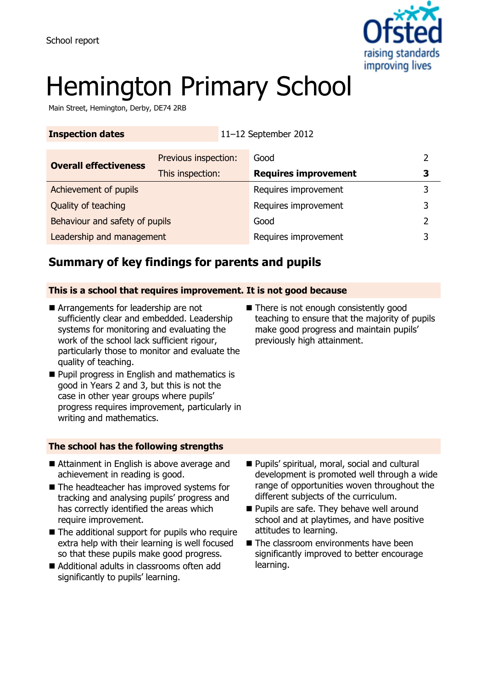

# Hemington Primary School

**Inspection dates** 11–12 September 2012

Main Street, Hemington, Derby, DE74 2RB

| <b>Overall effectiveness</b>   | Previous inspection: | Good                        |   |
|--------------------------------|----------------------|-----------------------------|---|
|                                | This inspection:     | <b>Requires improvement</b> | 3 |
| Achievement of pupils          |                      | Requires improvement        |   |
| Quality of teaching            |                      | Requires improvement        |   |
| Behaviour and safety of pupils |                      | Good                        |   |
| Leadership and management      |                      | Requires improvement        |   |

### **Summary of key findings for parents and pupils**

#### **This is a school that requires improvement. It is not good because**

- Arrangements for leadership are not sufficiently clear and embedded. Leadership systems for monitoring and evaluating the work of the school lack sufficient rigour, particularly those to monitor and evaluate the quality of teaching.
- **Pupil progress in English and mathematics is** good in Years 2 and 3, but this is not the case in other year groups where pupils' progress requires improvement, particularly in writing and mathematics.

#### **The school has the following strengths**

- Attainment in English is above average and achievement in reading is good.
- The headteacher has improved systems for tracking and analysing pupils' progress and has correctly identified the areas which require improvement.
- The additional support for pupils who require extra help with their learning is well focused so that these pupils make good progress.
- Additional adults in classrooms often add significantly to pupils' learning.
- Pupils' spiritual, moral, social and cultural development is promoted well through a wide range of opportunities woven throughout the different subjects of the curriculum.
- **Pupils are safe. They behave well around** school and at playtimes, and have positive attitudes to learning.
- The classroom environments have been significantly improved to better encourage learning.

■ There is not enough consistently good teaching to ensure that the majority of pupils make good progress and maintain pupils' previously high attainment.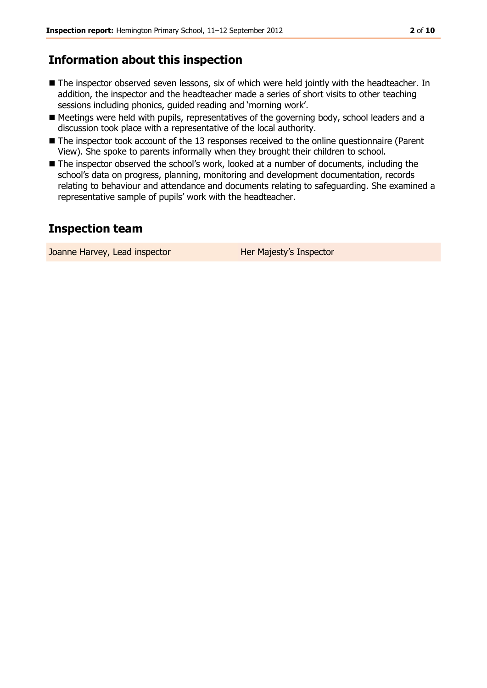#### **Information about this inspection**

- The inspector observed seven lessons, six of which were held jointly with the headteacher. In addition, the inspector and the headteacher made a series of short visits to other teaching sessions including phonics, guided reading and 'morning work'.
- Meetings were held with pupils, representatives of the governing body, school leaders and a discussion took place with a representative of the local authority.
- The inspector took account of the 13 responses received to the online questionnaire (Parent View). She spoke to parents informally when they brought their children to school.
- The inspector observed the school's work, looked at a number of documents, including the school's data on progress, planning, monitoring and development documentation, records relating to behaviour and attendance and documents relating to safeguarding. She examined a representative sample of pupils' work with the headteacher.

#### **Inspection team**

Joanne Harvey, Lead inspector **Her Majesty's Inspector**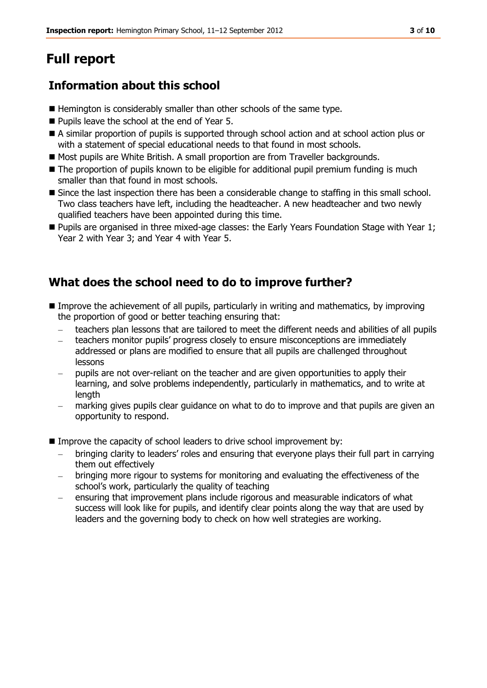# **Full report**

### **Information about this school**

- Hemington is considerably smaller than other schools of the same type.
- Pupils leave the school at the end of Year 5.
- A similar proportion of pupils is supported through school action and at school action plus or with a statement of special educational needs to that found in most schools.
- Most pupils are White British. A small proportion are from Traveller backgrounds.
- The proportion of pupils known to be eligible for additional pupil premium funding is much smaller than that found in most schools.
- Since the last inspection there has been a considerable change to staffing in this small school. Two class teachers have left, including the headteacher. A new headteacher and two newly qualified teachers have been appointed during this time.
- **Pupils are organised in three mixed-age classes: the Early Years Foundation Stage with Year 1;** Year 2 with Year 3; and Year 4 with Year 5.

### **What does the school need to do to improve further?**

- **IMP** Improve the achievement of all pupils, particularly in writing and mathematics, by improving the proportion of good or better teaching ensuring that:
	- teachers plan lessons that are tailored to meet the different needs and abilities of all pupils
	- teachers monitor pupils' progress closely to ensure misconceptions are immediately addressed or plans are modified to ensure that all pupils are challenged throughout lessons
	- pupils are not over-reliant on the teacher and are given opportunities to apply their learning, and solve problems independently, particularly in mathematics, and to write at length
	- marking gives pupils clear guidance on what to do to improve and that pupils are given an opportunity to respond.
- Improve the capacity of school leaders to drive school improvement by:
	- bringing clarity to leaders' roles and ensuring that everyone plays their full part in carrying them out effectively
	- bringing more rigour to systems for monitoring and evaluating the effectiveness of the school's work, particularly the quality of teaching
	- ensuring that improvement plans include rigorous and measurable indicators of what success will look like for pupils, and identify clear points along the way that are used by leaders and the governing body to check on how well strategies are working.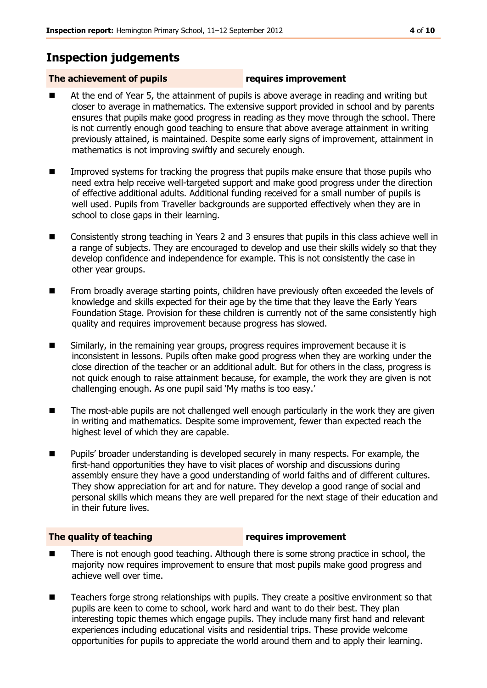### **Inspection judgements**

#### **The achievement of pupils requires improvement**

- At the end of Year 5, the attainment of pupils is above average in reading and writing but closer to average in mathematics. The extensive support provided in school and by parents ensures that pupils make good progress in reading as they move through the school. There is not currently enough good teaching to ensure that above average attainment in writing previously attained, is maintained. Despite some early signs of improvement, attainment in mathematics is not improving swiftly and securely enough.
- Improved systems for tracking the progress that pupils make ensure that those pupils who need extra help receive well-targeted support and make good progress under the direction of effective additional adults. Additional funding received for a small number of pupils is well used. Pupils from Traveller backgrounds are supported effectively when they are in school to close gaps in their learning.
- Consistently strong teaching in Years 2 and 3 ensures that pupils in this class achieve well in a range of subjects. They are encouraged to develop and use their skills widely so that they develop confidence and independence for example. This is not consistently the case in other year groups.
- **From broadly average starting points, children have previously often exceeded the levels of and replace in the levels** knowledge and skills expected for their age by the time that they leave the Early Years Foundation Stage. Provision for these children is currently not of the same consistently high quality and requires improvement because progress has slowed.
- Similarly, in the remaining year groups, progress requires improvement because it is inconsistent in lessons. Pupils often make good progress when they are working under the close direction of the teacher or an additional adult. But for others in the class, progress is not quick enough to raise attainment because, for example, the work they are given is not challenging enough. As one pupil said 'My maths is too easy.'
- The most-able pupils are not challenged well enough particularly in the work they are given in writing and mathematics. Despite some improvement, fewer than expected reach the highest level of which they are capable.
- **Pupils'** broader understanding is developed securely in many respects. For example, the first-hand opportunities they have to visit places of worship and discussions during assembly ensure they have a good understanding of world faiths and of different cultures. They show appreciation for art and for nature. They develop a good range of social and personal skills which means they are well prepared for the next stage of their education and in their future lives.

#### **The quality of teaching requires improvement**

- There is not enough good teaching. Although there is some strong practice in school, the majority now requires improvement to ensure that most pupils make good progress and achieve well over time.
- Teachers forge strong relationships with pupils. They create a positive environment so that pupils are keen to come to school, work hard and want to do their best. They plan interesting topic themes which engage pupils. They include many first hand and relevant experiences including educational visits and residential trips. These provide welcome opportunities for pupils to appreciate the world around them and to apply their learning.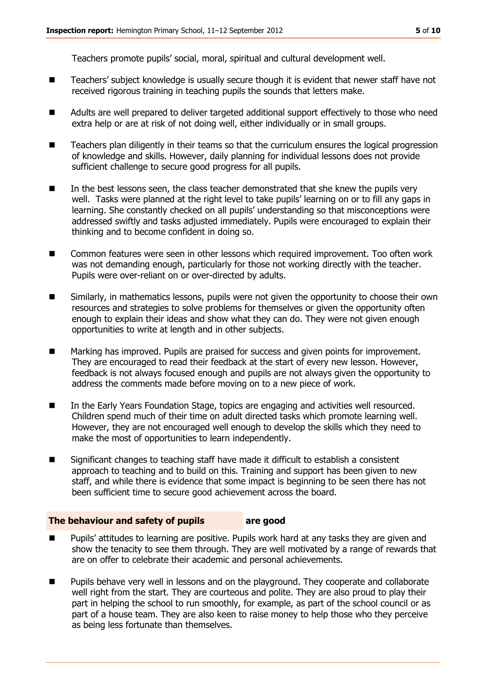Teachers promote pupils' social, moral, spiritual and cultural development well.

- Teachers' subject knowledge is usually secure though it is evident that newer staff have not received rigorous training in teaching pupils the sounds that letters make.
- Adults are well prepared to deliver targeted additional support effectively to those who need extra help or are at risk of not doing well, either individually or in small groups.
- Teachers plan diligently in their teams so that the curriculum ensures the logical progression of knowledge and skills. However, daily planning for individual lessons does not provide sufficient challenge to secure good progress for all pupils.
- In the best lessons seen, the class teacher demonstrated that she knew the pupils very well. Tasks were planned at the right level to take pupils' learning on or to fill any gaps in learning. She constantly checked on all pupils' understanding so that misconceptions were addressed swiftly and tasks adjusted immediately. Pupils were encouraged to explain their thinking and to become confident in doing so.
- Common features were seen in other lessons which required improvement. Too often work was not demanding enough, particularly for those not working directly with the teacher. Pupils were over-reliant on or over-directed by adults.
- Similarly, in mathematics lessons, pupils were not given the opportunity to choose their own resources and strategies to solve problems for themselves or given the opportunity often enough to explain their ideas and show what they can do. They were not given enough opportunities to write at length and in other subjects.
- Marking has improved. Pupils are praised for success and given points for improvement. They are encouraged to read their feedback at the start of every new lesson. However, feedback is not always focused enough and pupils are not always given the opportunity to address the comments made before moving on to a new piece of work.
- **IFM** In the Early Years Foundation Stage, topics are engaging and activities well resourced. Children spend much of their time on adult directed tasks which promote learning well. However, they are not encouraged well enough to develop the skills which they need to make the most of opportunities to learn independently.
- Significant changes to teaching staff have made it difficult to establish a consistent approach to teaching and to build on this. Training and support has been given to new staff, and while there is evidence that some impact is beginning to be seen there has not been sufficient time to secure good achievement across the board.

#### **The behaviour and safety of pupils are good**

- Pupils' attitudes to learning are positive. Pupils work hard at any tasks they are given and show the tenacity to see them through. They are well motivated by a range of rewards that are on offer to celebrate their academic and personal achievements.
- **Pupils behave very well in lessons and on the playground. They cooperate and collaborate** well right from the start. They are courteous and polite. They are also proud to play their part in helping the school to run smoothly, for example, as part of the school council or as part of a house team. They are also keen to raise money to help those who they perceive as being less fortunate than themselves.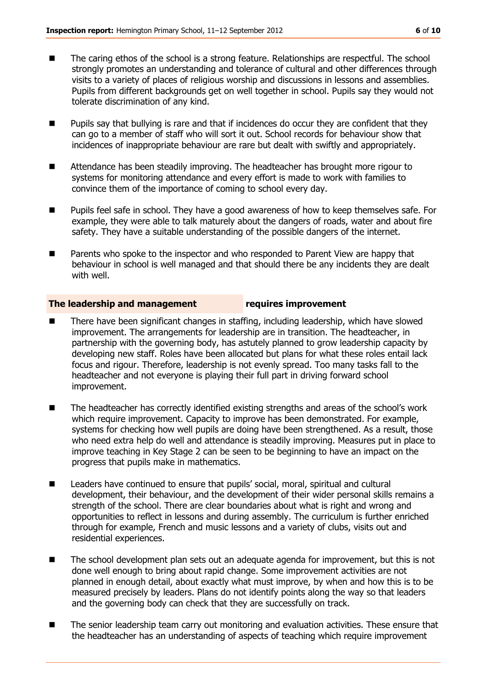- The caring ethos of the school is a strong feature. Relationships are respectful. The school strongly promotes an understanding and tolerance of cultural and other differences through visits to a variety of places of religious worship and discussions in lessons and assemblies. Pupils from different backgrounds get on well together in school. Pupils say they would not tolerate discrimination of any kind.
- $\blacksquare$  Pupils say that bullying is rare and that if incidences do occur they are confident that they can go to a member of staff who will sort it out. School records for behaviour show that incidences of inappropriate behaviour are rare but dealt with swiftly and appropriately.
- Attendance has been steadily improving. The headteacher has brought more rigour to systems for monitoring attendance and every effort is made to work with families to convince them of the importance of coming to school every day.
- **Pupils feel safe in school. They have a good awareness of how to keep themselves safe. For** example, they were able to talk maturely about the dangers of roads, water and about fire safety. They have a suitable understanding of the possible dangers of the internet.
- Parents who spoke to the inspector and who responded to Parent View are happy that behaviour in school is well managed and that should there be any incidents they are dealt with well.

#### **The leadership and management requires improvement**

- There have been significant changes in staffing, including leadership, which have slowed improvement. The arrangements for leadership are in transition. The headteacher, in partnership with the governing body, has astutely planned to grow leadership capacity by developing new staff. Roles have been allocated but plans for what these roles entail lack focus and rigour. Therefore, leadership is not evenly spread. Too many tasks fall to the headteacher and not everyone is playing their full part in driving forward school improvement.
- The headteacher has correctly identified existing strengths and areas of the school's work which require improvement. Capacity to improve has been demonstrated. For example, systems for checking how well pupils are doing have been strengthened. As a result, those who need extra help do well and attendance is steadily improving. Measures put in place to improve teaching in Key Stage 2 can be seen to be beginning to have an impact on the progress that pupils make in mathematics.
- Leaders have continued to ensure that pupils' social, moral, spiritual and cultural development, their behaviour, and the development of their wider personal skills remains a strength of the school. There are clear boundaries about what is right and wrong and opportunities to reflect in lessons and during assembly. The curriculum is further enriched through for example, French and music lessons and a variety of clubs, visits out and residential experiences.
- The school development plan sets out an adequate agenda for improvement, but this is not done well enough to bring about rapid change. Some improvement activities are not planned in enough detail, about exactly what must improve, by when and how this is to be measured precisely by leaders. Plans do not identify points along the way so that leaders and the governing body can check that they are successfully on track.
- The senior leadership team carry out monitoring and evaluation activities. These ensure that the headteacher has an understanding of aspects of teaching which require improvement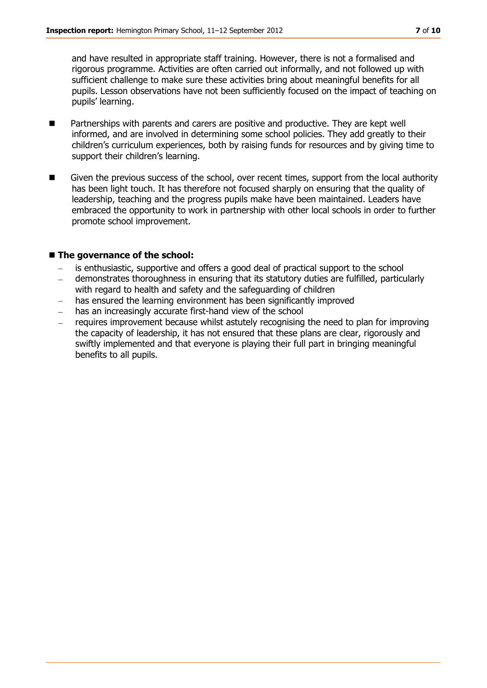and have resulted in appropriate staff training. However, there is not a formalised and rigorous programme. Activities are often carried out informally, and not followed up with sufficient challenge to make sure these activities bring about meaningful benefits for all pupils. Lesson observations have not been sufficiently focused on the impact of teaching on pupils' learning.

- Partnerships with parents and carers are positive and productive. They are kept well informed, and are involved in determining some school policies. They add greatly to their children's curriculum experiences, both by raising funds for resources and by giving time to support their children's learning.
- Given the previous success of the school, over recent times, support from the local authority has been light touch. It has therefore not focused sharply on ensuring that the quality of leadership, teaching and the progress pupils make have been maintained. Leaders have embraced the opportunity to work in partnership with other local schools in order to further promote school improvement.

#### ■ The governance of the school:

- is enthusiastic, supportive and offers a good deal of practical support to the school
- demonstrates thoroughness in ensuring that its statutory duties are fulfilled, particularly  $\mathbb{R}^2$ with regard to health and safety and the safeguarding of children
- has ensured the learning environment has been significantly improved
- has an increasingly accurate first-hand view of the school
- requires improvement because whilst astutely recognising the need to plan for improving the capacity of leadership, it has not ensured that these plans are clear, rigorously and swiftly implemented and that everyone is playing their full part in bringing meaningful benefits to all pupils.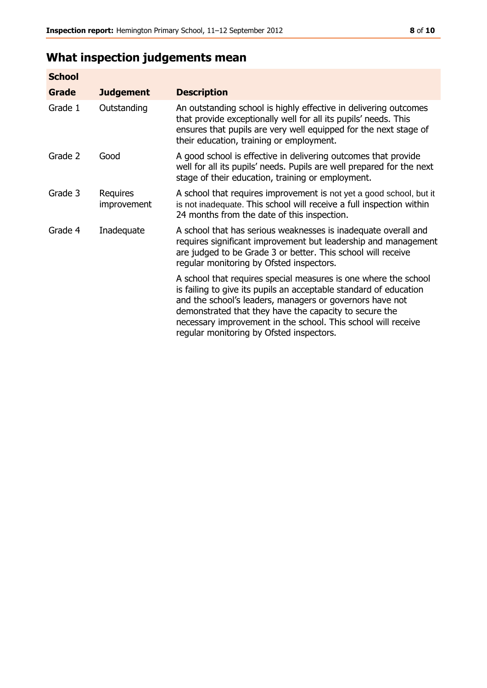# **What inspection judgements mean**

| <b>School</b> |                         |                                                                                                                                                                                                                                                                                                                                                                         |
|---------------|-------------------------|-------------------------------------------------------------------------------------------------------------------------------------------------------------------------------------------------------------------------------------------------------------------------------------------------------------------------------------------------------------------------|
| Grade         | <b>Judgement</b>        | <b>Description</b>                                                                                                                                                                                                                                                                                                                                                      |
| Grade 1       | Outstanding             | An outstanding school is highly effective in delivering outcomes<br>that provide exceptionally well for all its pupils' needs. This<br>ensures that pupils are very well equipped for the next stage of<br>their education, training or employment.                                                                                                                     |
| Grade 2       | Good                    | A good school is effective in delivering outcomes that provide<br>well for all its pupils' needs. Pupils are well prepared for the next<br>stage of their education, training or employment.                                                                                                                                                                            |
| Grade 3       | Requires<br>improvement | A school that requires improvement is not yet a good school, but it<br>is not inadequate. This school will receive a full inspection within<br>24 months from the date of this inspection.                                                                                                                                                                              |
| Grade 4       | Inadequate              | A school that has serious weaknesses is inadequate overall and<br>requires significant improvement but leadership and management<br>are judged to be Grade 3 or better. This school will receive<br>regular monitoring by Ofsted inspectors.                                                                                                                            |
|               |                         | A school that requires special measures is one where the school<br>is failing to give its pupils an acceptable standard of education<br>and the school's leaders, managers or governors have not<br>demonstrated that they have the capacity to secure the<br>necessary improvement in the school. This school will receive<br>regular monitoring by Ofsted inspectors. |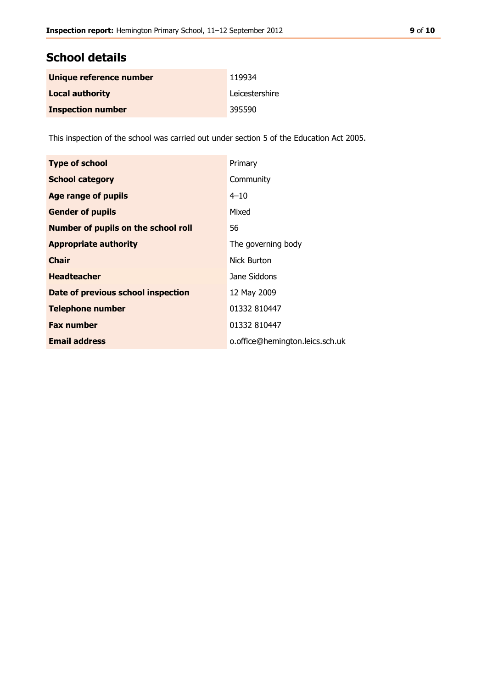#### **School details**

| Unique reference number  | 119934         |
|--------------------------|----------------|
| <b>Local authority</b>   | Leicestershire |
| <b>Inspection number</b> | 395590         |

This inspection of the school was carried out under section 5 of the Education Act 2005.

| <b>Type of school</b>               | Primary                         |
|-------------------------------------|---------------------------------|
| <b>School category</b>              | Community                       |
| <b>Age range of pupils</b>          | $4 - 10$                        |
| <b>Gender of pupils</b>             | Mixed                           |
| Number of pupils on the school roll | 56                              |
| <b>Appropriate authority</b>        | The governing body              |
| <b>Chair</b>                        | Nick Burton                     |
| <b>Headteacher</b>                  | Jane Siddons                    |
| Date of previous school inspection  | 12 May 2009                     |
| <b>Telephone number</b>             | 01332 810447                    |
| <b>Fax number</b>                   | 01332 810447                    |
| <b>Email address</b>                | o.office@hemington.leics.sch.uk |